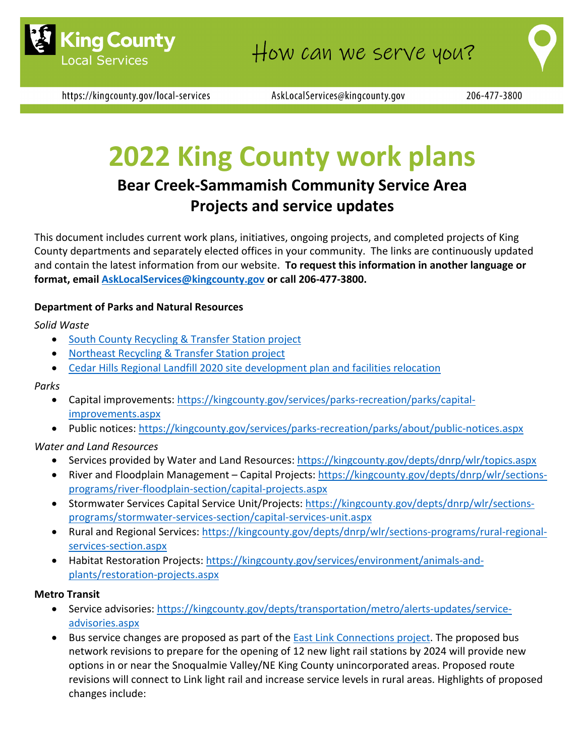

https://kingcounty.gov/local-services

AskLocalServices@kingcounty.gov

# **2022 King County work plans**

# **Bear Creek-Sammamish Community Service Area Projects and service updates**

This document includes current work plans, initiatives, ongoing projects, and completed projects of King County departments and separately elected offices in your community. The links are continuously updated and contain the latest information from our website. **To request this information in another language or format, email [AskLocalServices@kingcounty.gov](mailto:AskLocalServices@kingcounty.gov) or call 206-477-3800.**

### **Department of Parks and Natural Resources**

#### *Solid Waste*

- [South County Recycling & Transfer Station project](https://kingcounty.gov/depts/dnrp/solid-waste/facilities/south-county.aspx)
- [Northeast Recycling & Transfer Station project](https://kingcounty.gov/depts/dnrp/solid-waste/facilities/northeast.aspx)
- [Cedar Hills Regional Landfill 2020 site development plan and facilities relocation](https://kingcounty.gov/depts/dnrp/solid-waste/facilities/landfills/cedar-hills-development.aspx)

#### *Parks*

- Capital improvements: [https://kingcounty.gov/services/parks-recreation/parks/capital](https://kingcounty.gov/services/parks-recreation/parks/capital-improvements.aspx)[improvements.aspx](https://kingcounty.gov/services/parks-recreation/parks/capital-improvements.aspx)
- Public notices:<https://kingcounty.gov/services/parks-recreation/parks/about/public-notices.aspx>

#### *Water and Land Resources*

- Services provided by Water and Land Resources:<https://kingcounty.gov/depts/dnrp/wlr/topics.aspx>
- River and Floodplain Management Capital Projects: [https://kingcounty.gov/depts/dnrp/wlr/sections](https://kingcounty.gov/depts/dnrp/wlr/sections-programs/river-floodplain-section/capital-projects.aspx)[programs/river-floodplain-section/capital-projects.aspx](https://kingcounty.gov/depts/dnrp/wlr/sections-programs/river-floodplain-section/capital-projects.aspx)
- Stormwater Services Capital Service Unit/Projects: [https://kingcounty.gov/depts/dnrp/wlr/sections](https://kingcounty.gov/depts/dnrp/wlr/sections-programs/stormwater-services-section/capital-services-unit.aspx)[programs/stormwater-services-section/capital-services-unit.aspx](https://kingcounty.gov/depts/dnrp/wlr/sections-programs/stormwater-services-section/capital-services-unit.aspx)
- Rural and Regional Services: [https://kingcounty.gov/depts/dnrp/wlr/sections-programs/rural-regional](https://kingcounty.gov/depts/dnrp/wlr/sections-programs/rural-regional-services-section.aspx)[services-section.aspx](https://kingcounty.gov/depts/dnrp/wlr/sections-programs/rural-regional-services-section.aspx)
- Habitat Restoration Projects: [https://kingcounty.gov/services/environment/animals-and](https://kingcounty.gov/services/environment/animals-and-plants/restoration-projects.aspx)[plants/restoration-projects.aspx](https://kingcounty.gov/services/environment/animals-and-plants/restoration-projects.aspx)

#### **Metro Transit**

- Service advisories: [https://kingcounty.gov/depts/transportation/metro/alerts-updates/service](https://kingcounty.gov/depts/transportation/metro/alerts-updates/service-advisories.aspx)[advisories.aspx](https://kingcounty.gov/depts/transportation/metro/alerts-updates/service-advisories.aspx)
- Bus service changes are proposed as part of the **East Link Connections project**. The proposed bus network revisions to prepare for the opening of 12 new light rail stations by 2024 will provide new options in or near the Snoqualmie Valley/NE King County unincorporated areas. Proposed route revisions will connect to Link light rail and increase service levels in rural areas. Highlights of proposed changes include: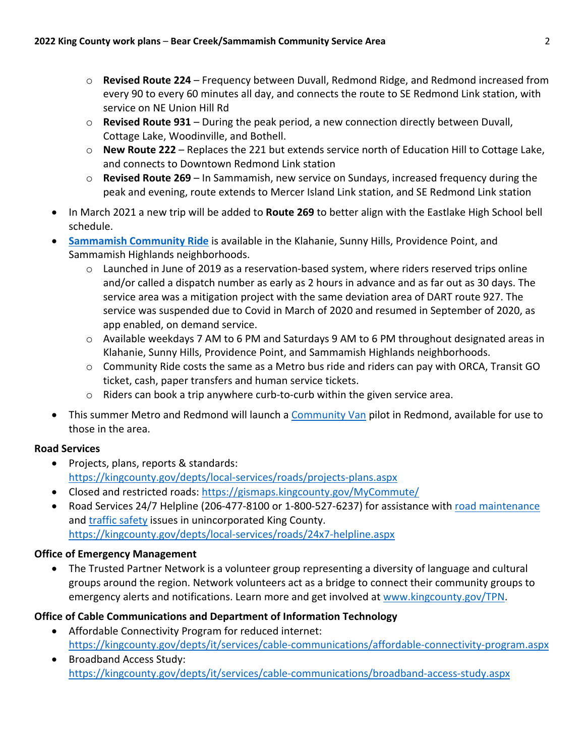- o **Revised Route 224** Frequency between Duvall, Redmond Ridge, and Redmond increased from every 90 to every 60 minutes all day, and connects the route to SE Redmond Link station, with service on NE Union Hill Rd
- o **Revised Route 931** During the peak period, a new connection directly between Duvall, Cottage Lake, Woodinville, and Bothell.
- o **New Route 222** Replaces the 221 but extends service north of Education Hill to Cottage Lake, and connects to Downtown Redmond Link station
- o **Revised Route 269** In Sammamish, new service on Sundays, increased frequency during the peak and evening, route extends to Mercer Island Link station, and SE Redmond Link station
- In March 2021 a new trip will be added to **Route 269** to better align with the Eastlake High School bell schedule.
- **[Sammamish Community Ride](https://kingcounty.gov/depts/transportation/metro/travel-options/on-demand/community-ride.aspx?utm_source=doublezmedia&utm_medium=google&utm_campaign=communityride&utm_term=search&utm_content=sammamish)** is available in the Klahanie, Sunny Hills, Providence Point, and Sammamish Highlands neighborhoods.
	- o Launched in June of 2019 as a reservation-based system, where riders reserved trips online and/or called a dispatch number as early as 2 hours in advance and as far out as 30 days. The service area was a mitigation project with the same deviation area of DART route 927. The service was suspended due to Covid in March of 2020 and resumed in September of 2020, as app enabled, on demand service.
	- o Available weekdays 7 AM to 6 PM and Saturdays 9 AM to 6 PM throughout designated areas in Klahanie, Sunny Hills, Providence Point, and Sammamish Highlands neighborhoods.
	- $\circ$  Community Ride costs the same as a Metro bus ride and riders can pay with ORCA, Transit GO ticket, cash, paper transfers and human service tickets.
	- $\circ$  Riders can book a trip anywhere curb-to-curb within the given service area.
- This summer Metro and Redmond will launch a [Community Van](https://kingcounty.gov/depts/transportation/metro/travel-options/rideshare/programs/community-van.aspx) pilot in Redmond, available for use to those in the area.

# **Road Services**

- Projects, plans, reports & standards: <https://kingcounty.gov/depts/local-services/roads/projects-plans.aspx>
- Closed and restricted roads:<https://gismaps.kingcounty.gov/MyCommute/>
- Road Services 24/7 Helpline (206-477-8100 or 1-800-527-6237) for assistance with [road maintenance](https://kingcounty.gov/depts/local-services/roads/road-maintenance.aspx) and [traffic safety](https://kingcounty.gov/depts/local-services/roads/traffic.aspx) issues in unincorporated King County. <https://kingcounty.gov/depts/local-services/roads/24x7-helpline.aspx>

# **Office of Emergency Management**

• The Trusted Partner Network is a volunteer group representing a diversity of language and cultural groups around the region. Network volunteers act as a bridge to connect their community groups to emergency alerts and notifications. Learn more and get involved at [www.kingcounty.gov/TPN.](http://www.kingcounty.gov/TPN)

# **Office of Cable Communications and Department of Information Technology**

- Affordable Connectivity Program for reduced internet: <https://kingcounty.gov/depts/it/services/cable-communications/affordable-connectivity-program.aspx>
- Broadband Access Study: <https://kingcounty.gov/depts/it/services/cable-communications/broadband-access-study.aspx>